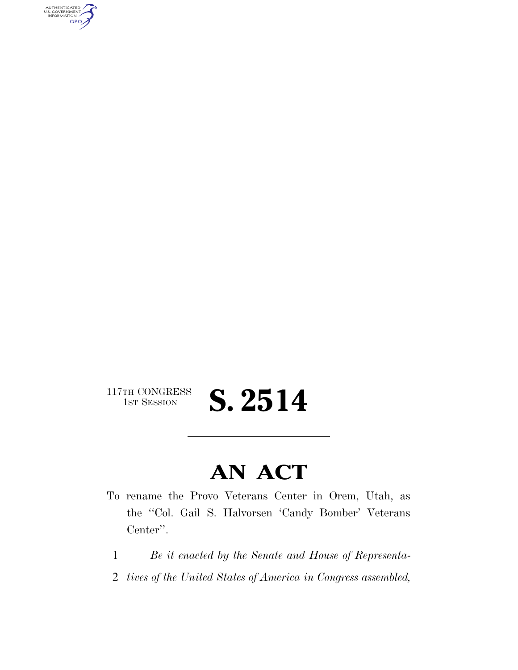AUTHENTICATED<br>U.S. GOVERNMENT<br>INFORMATION **GPO** 

 $117\text{TH CONGRESS}\over 18\text{T} \text{ SESSION}$ 

**S. 2514** 

## **AN ACT**

- To rename the Provo Veterans Center in Orem, Utah, as the ''Col. Gail S. Halvorsen 'Candy Bomber' Veterans Center''.
	- 1 *Be it enacted by the Senate and House of Representa-*
	- 2 *tives of the United States of America in Congress assembled,*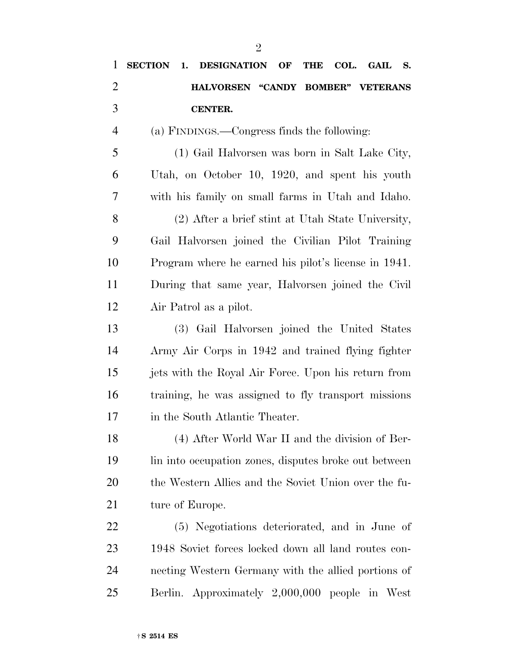| $\mathbf{1}$   | <b>SECTION</b><br><b>DESIGNATION OF</b><br>COL.<br><b>THE</b><br><b>GAIL</b><br>1.<br><b>S.</b> |
|----------------|-------------------------------------------------------------------------------------------------|
| $\overline{2}$ | HALVORSEN "CANDY BOMBER" VETERANS                                                               |
| 3              | <b>CENTER.</b>                                                                                  |
| $\overline{4}$ | (a) FINDINGS.—Congress finds the following:                                                     |
| 5              | (1) Gail Halvorsen was born in Salt Lake City,                                                  |
| 6              | Utah, on October 10, 1920, and spent his youth                                                  |
| 7              | with his family on small farms in Utah and Idaho.                                               |
| 8              | (2) After a brief stint at Utah State University,                                               |
| 9              | Gail Halvorsen joined the Civilian Pilot Training                                               |
| 10             | Program where he earned his pilot's license in 1941.                                            |
| 11             | During that same year, Halvorsen joined the Civil                                               |
| 12             | Air Patrol as a pilot.                                                                          |
| 13             | (3) Gail Halvorsen joined the United States                                                     |
| 14             | Army Air Corps in 1942 and trained flying fighter                                               |
| 15             | jets with the Royal Air Force. Upon his return from                                             |
| 16             | training, he was assigned to fly transport missions                                             |
| 17             | in the South Atlantic Theater.                                                                  |
| 18             | (4) After World War II and the division of Ber-                                                 |
| 19             | lin into occupation zones, disputes broke out between                                           |
| 20             | the Western Allies and the Soviet Union over the fu-                                            |
| 21             | ture of Europe.                                                                                 |
| <u>22</u>      | (5) Negotiations deteriorated, and in June of                                                   |
| 23             | 1948 Soviet forces locked down all land routes con-                                             |
| 24             | necting Western Germany with the allied portions of                                             |
| 25             | Berlin. Approximately 2,000,000 people in West                                                  |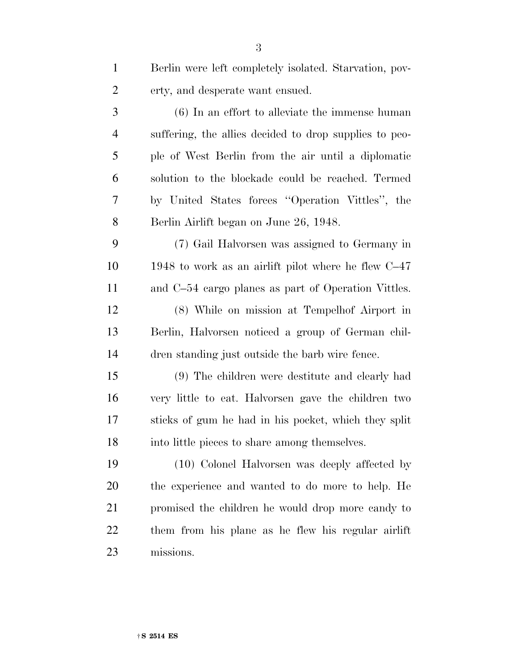| $\mathbf{1}$   | Berlin were left completely isolated. Starvation, pov- |
|----------------|--------------------------------------------------------|
| $\overline{c}$ | erty, and desperate want ensued.                       |
| 3              | $(6)$ In an effort to alleviate the immense human      |
| $\overline{4}$ | suffering, the allies decided to drop supplies to peo- |
| 5              | ple of West Berlin from the air until a diplomatic     |
| 6              | solution to the blockade could be reached. Termed      |
| 7              | by United States forces "Operation Vittles", the       |
| 8              | Berlin Airlift began on June 26, 1948.                 |
| 9              | (7) Gail Halvorsen was assigned to Germany in          |
| 10             | 1948 to work as an airlift pilot where he flew $C-47$  |
| 11             | and C-54 cargo planes as part of Operation Vittles.    |
| 12             | (8) While on mission at Tempelhof Airport in           |
| 13             | Berlin, Halvorsen noticed a group of German chil-      |
| 14             | dren standing just outside the barb wire fence.        |
| 15             | (9) The children were destitute and clearly had        |
| 16             | very little to eat. Halvorsen gave the children two    |
| 17             | sticks of gum he had in his pocket, which they split   |
| 18             | into little pieces to share among themselves.          |
| 19             | (10) Colonel Halvorsen was deeply affected by          |
| 20             | the experience and wanted to do more to help. He       |
| 21             | promised the children he would drop more candy to      |
| 22             | them from his plane as he flew his regular airlift     |
| 23             | missions.                                              |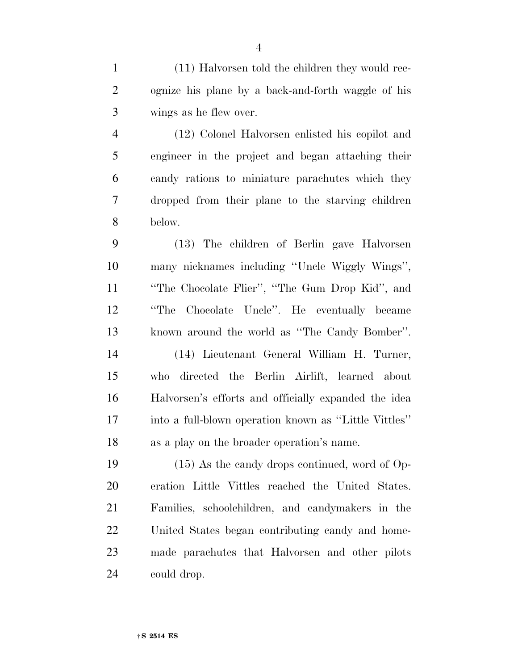(11) Halvorsen told the children they would rec- ognize his plane by a back-and-forth waggle of his wings as he flew over.

 (12) Colonel Halvorsen enlisted his copilot and engineer in the project and began attaching their candy rations to miniature parachutes which they dropped from their plane to the starving children below.

 (13) The children of Berlin gave Halvorsen many nicknames including ''Uncle Wiggly Wings'', ''The Chocolate Flier'', ''The Gum Drop Kid'', and ''The Chocolate Uncle''. He eventually became known around the world as ''The Candy Bomber''. (14) Lieutenant General William H. Turner, who directed the Berlin Airlift, learned about Halvorsen's efforts and officially expanded the idea into a full-blown operation known as ''Little Vittles''

 (15) As the candy drops continued, word of Op- eration Little Vittles reached the United States. Families, schoolchildren, and candymakers in the United States began contributing candy and home- made parachutes that Halvorsen and other pilots could drop.

as a play on the broader operation's name.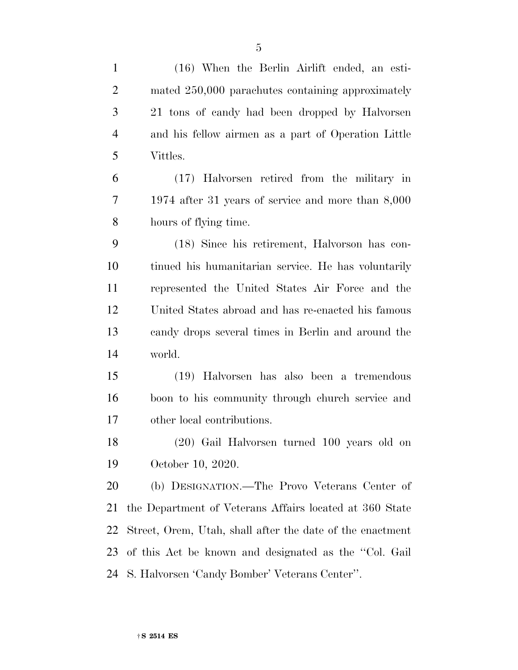| $\mathbf{1}$   | (16) When the Berlin Airlift ended, an esti-              |
|----------------|-----------------------------------------------------------|
| $\overline{2}$ | mated 250,000 parachutes containing approximately         |
| 3              | 21 tons of candy had been dropped by Halvorsen            |
| $\overline{4}$ | and his fellow airmen as a part of Operation Little       |
| 5              | Vittles.                                                  |
| 6              | (17) Halvorsen retired from the military in               |
| 7              | 1974 after 31 years of service and more than $8,000$      |
| 8              | hours of flying time.                                     |
| 9              | (18) Since his retirement, Halvorson has con-             |
| 10             | tinued his humanitarian service. He has voluntarily       |
| 11             | represented the United States Air Force and the           |
| 12             | United States abroad and has re-enacted his famous        |
| 13             | candy drops several times in Berlin and around the        |
| 14             | world.                                                    |
| 15             | (19) Halvorsen has also been a tremendous                 |
| 16             | boon to his community through church service and          |
| 17             | other local contributions.                                |
| 18             | (20) Gail Halvorsen turned 100 years old on               |
| 19             | October 10, 2020.                                         |
| 20             | (b) DESIGNATION.—The Provo Veterans Center of             |
| 21             | the Department of Veterans Affairs located at 360 State   |
| 22             | Street, Orem, Utah, shall after the date of the enactment |
| 23             | of this Act be known and designated as the "Col. Gail"    |
| 24             | S. Halvorsen 'Candy Bomber' Veterans Center".             |
|                |                                                           |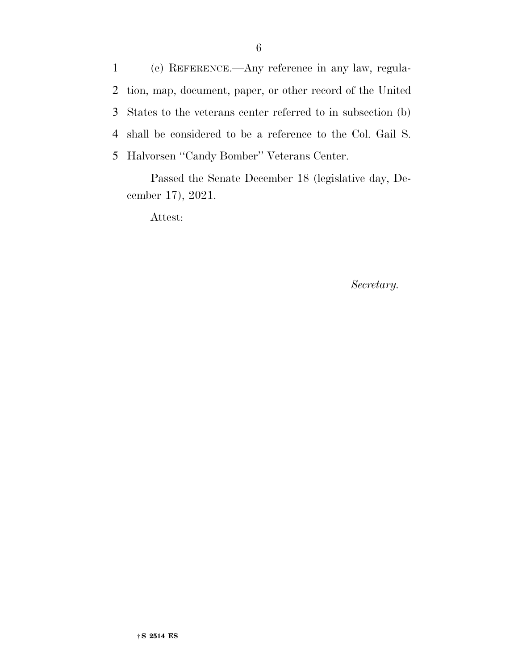(c) REFERENCE.—Any reference in any law, regula- tion, map, document, paper, or other record of the United States to the veterans center referred to in subsection (b) shall be considered to be a reference to the Col. Gail S. Halvorsen ''Candy Bomber'' Veterans Center.

Passed the Senate December 18 (legislative day, December 17), 2021.

Attest:

*Secretary.*